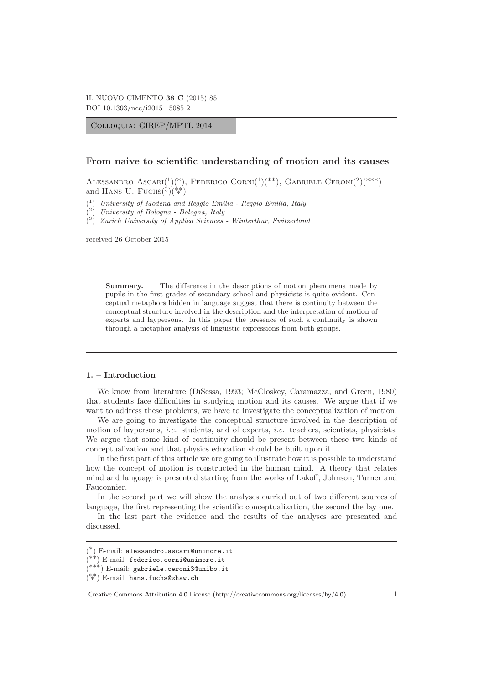Colloquia: GIREP/MPTL 2014

## **From naive to scientific understanding of motion and its causes**

ALESSANDRO ASCARI $({}^{1})({}^{*})$ , FEDERICO CORNI $({}^{1})({}^{**})$ , GABRIELE CERONI $({}^{2})({}^{***})$ and HANS U. FUCHS $\binom{3}{4}$ 

( <sup>1</sup>) University of Modena and Reggio Emilia - Reggio Emilia, Italy

( <sup>2</sup>) University of Bologna - Bologna, Italy

 $(3)$  Zurich University of Applied Sciences - Winterthur, Switzerland

received 26 October 2015

**Summary.** — The difference in the descriptions of motion phenomena made by pupils in the first grades of secondary school and physicists is quite evident. Conceptual metaphors hidden in language suggest that there is continuity between the conceptual structure involved in the description and the interpretation of motion of experts and laypersons. In this paper the presence of such a continuity is shown through a metaphor analysis of linguistic expressions from both groups.

### **1. – Introduction**

We know from literature (DiSessa, 1993; McCloskey, Caramazza, and Green, 1980) that students face difficulties in studying motion and its causes. We argue that if we want to address these problems, we have to investigate the conceptualization of motion.

We are going to investigate the conceptual structure involved in the description of motion of laypersons, *i.e.* students, and of experts, *i.e.* teachers, scientists, physicists. We argue that some kind of continuity should be present between these two kinds of conceptualization and that physics education should be built upon it.

In the first part of this article we are going to illustrate how it is possible to understand how the concept of motion is constructed in the human mind. A theory that relates mind and language is presented starting from the works of Lakoff, Johnson, Turner and Fauconnier.

In the second part we will show the analyses carried out of two different sources of language, the first representing the scientific conceptualization, the second the lay one.

In the last part the evidence and the results of the analyses are presented and discussed.

Creative Commons Attribution 4.0 License (http://creativecommons.org/licenses/by/4.0) 1

<sup>(</sup> ∗) E-mail: alessandro.ascari@unimore.it

<sup>(</sup> ∗∗) E-mail: federico.corni@unimore.it

<sup>(</sup> ∗∗∗) E-mail: gabriele.ceroni3@unibo.it

 $(**)$  E-mail: hans.fuchs@zhaw.ch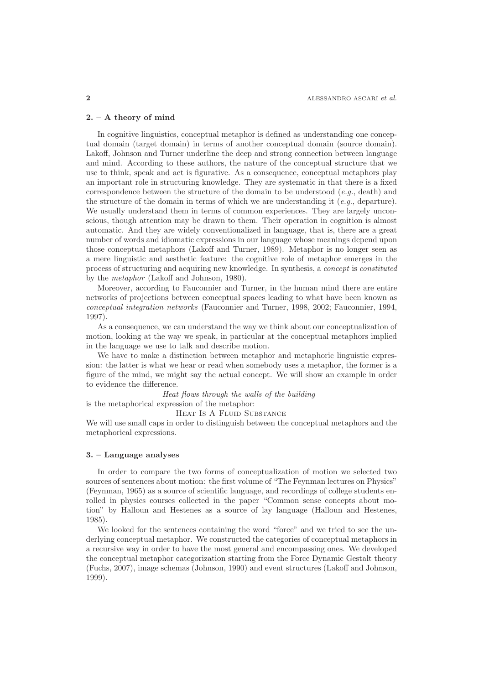#### **2. – A theory of mind**

In cognitive linguistics, conceptual metaphor is defined as understanding one conceptual domain (target domain) in terms of another conceptual domain (source domain). Lakoff, Johnson and Turner underline the deep and strong connection between language and mind. According to these authors, the nature of the conceptual structure that we use to think, speak and act is figurative. As a consequence, conceptual metaphors play an important role in structuring knowledge. They are systematic in that there is a fixed correspondence between the structure of the domain to be understood  $(e, a, \text{ death})$  and the structure of the domain in terms of which we are understanding it  $(e.g.,$  departure). We usually understand them in terms of common experiences. They are largely unconscious, though attention may be drawn to them. Their operation in cognition is almost automatic. And they are widely conventionalized in language, that is, there are a great number of words and idiomatic expressions in our language whose meanings depend upon those conceptual metaphors (Lakoff and Turner, 1989). Metaphor is no longer seen as a mere linguistic and aesthetic feature: the cognitive role of metaphor emerges in the process of structuring and acquiring new knowledge. In synthesis, a concept is constituted by the metaphor (Lakoff and Johnson, 1980).

Moreover, according to Fauconnier and Turner, in the human mind there are entire networks of projections between conceptual spaces leading to what have been known as conceptual integration networks (Fauconnier and Turner, 1998, 2002; Fauconnier, 1994, 1997).

As a consequence, we can understand the way we think about our conceptualization of motion, looking at the way we speak, in particular at the conceptual metaphors implied in the language we use to talk and describe motion.

We have to make a distinction between metaphor and metaphoric linguistic expression: the latter is what we hear or read when somebody uses a metaphor, the former is a figure of the mind, we might say the actual concept. We will show an example in order to evidence the difference.

Heat flows through the walls of the building

is the metaphorical expression of the metaphor:

HEAT IS A FLUID SUBSTANCE

We will use small caps in order to distinguish between the conceptual metaphors and the metaphorical expressions.

### **3. – Language analyses**

In order to compare the two forms of conceptualization of motion we selected two sources of sentences about motion: the first volume of "The Feynman lectures on Physics" (Feynman, 1965) as a source of scientific language, and recordings of college students enrolled in physics courses collected in the paper "Common sense concepts about motion" by Halloun and Hestenes as a source of lay language (Halloun and Hestenes, 1985).

We looked for the sentences containing the word "force" and we tried to see the underlying conceptual metaphor. We constructed the categories of conceptual metaphors in a recursive way in order to have the most general and encompassing ones. We developed the conceptual metaphor categorization starting from the Force Dynamic Gestalt theory (Fuchs, 2007), image schemas (Johnson, 1990) and event structures (Lakoff and Johnson, 1999).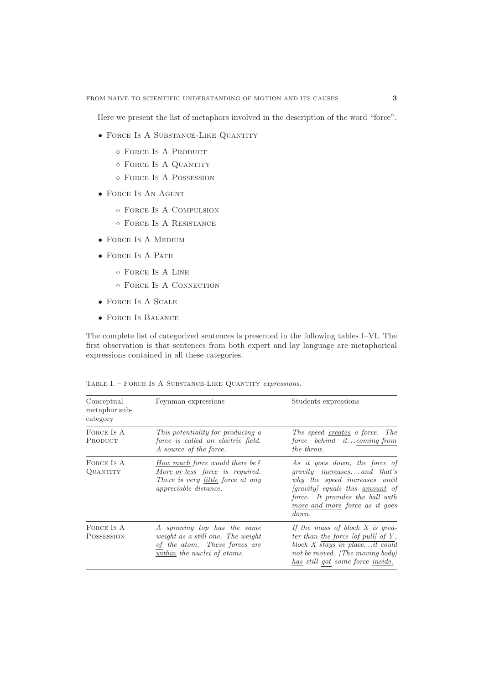Here we present the list of metaphors involved in the description of the word "force".

- FORCE IS A SUBSTANCE-LIKE QUANTITY
	- Force Is A Product
	- Force Is A Quantity
	- Force Is A Possession
- Force Is An Agent
	- Force Is A Compulsion
	- Force Is A Resistance
- FORCE IS A MEDIUM
- FORCE IS A PATH
	- Force Is A Line
	- Force Is A Connection
- Force Is A Scale
- Force Is Balance

The complete list of categorized sentences is presented in the following tables I–VI. The first observation is that sentences from both expert and lay language are metaphorical expressions contained in all these categories.

| Conceptual<br>metaphor sub-<br>category | Feynman expressions                                                                                                                           | Students expressions                                                                                                                                                                                                           |
|-----------------------------------------|-----------------------------------------------------------------------------------------------------------------------------------------------|--------------------------------------------------------------------------------------------------------------------------------------------------------------------------------------------------------------------------------|
| FORCE IS A<br>PRODUCT                   | This potentiality for producing a<br>force is called an electric field.<br>A source of the force.                                             | The speed creates a force. The<br>force behind itcoming from<br>the throw.                                                                                                                                                     |
| FORCE IS A<br>QUANTITY                  | How much force would there be?<br>More or less force is required.<br>There is very <u>little</u> force at any<br><i>appreciable distance.</i> | As it goes down, the force of<br>gravity <u>increases</u> and that's<br>why the speed increases until<br>[gravity] equals this <u>amount</u> of<br>force. It provides the ball with<br>more and more force as it goes<br>down. |
| FORCE IS A<br>POSSESSION                | A spinning top has the same<br><i>weight as a still one. The weight</i><br>of the atom. These forces are<br>within the nuclei of atoms.       | If the mass of block $X$ is grea-<br>ter than the force $\vert$ of pull of Y,<br>block $X$ stays in placeit could<br>not be moved. [The moving body]<br>has still got some force <i>inside</i> .                               |

TABLE I. – FORCE IS A SUBSTANCE-LIKE QUANTITY expressions.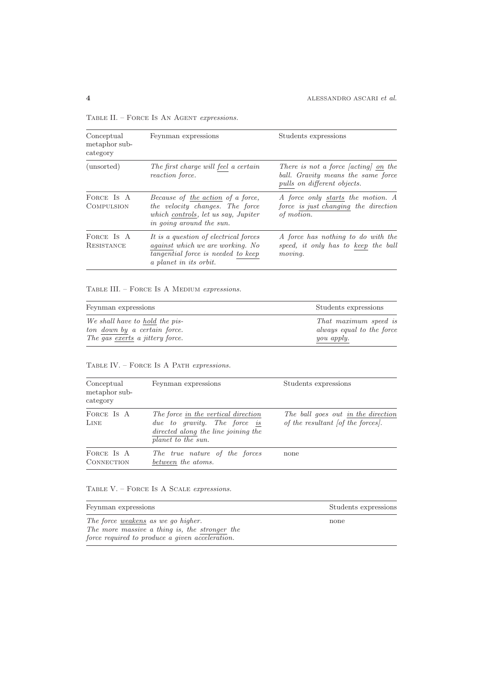|  | TABLE II. - FORCE IS AN AGENT expressions. |  |  |  |  |  |
|--|--------------------------------------------|--|--|--|--|--|
|--|--------------------------------------------|--|--|--|--|--|

| Conceptual<br>metaphor sub-<br>category | Feynman expressions                                                                                                                              | Students expressions                                                                                                    |
|-----------------------------------------|--------------------------------------------------------------------------------------------------------------------------------------------------|-------------------------------------------------------------------------------------------------------------------------|
| (unsorted)                              | The first charge will feel a certain<br>reaction force.                                                                                          | There is not a force <i>(acting)</i> on the<br>ball. Gravity means the same force<br><i>pulls on different objects.</i> |
| FORCE IS A<br><b>COMPULSION</b>         | Because of the action of a force,<br>the velocity changes. The force<br>which controls, let us say, Jupiter<br>in going around the sun.          | A force only starts the motion. A<br>force is just changing the direction<br>of motion.                                 |
| FORCE IS A<br>RESISTANCE                | It is a question of electrical forces<br><i>against which we are working.</i> No<br>tangential force is needed to keep<br>a planet in its orbit. | A force has nothing to do with the<br>speed, it only has to keep the ball<br>moving.                                    |

TABLE III. – FORCE IS A MEDIUM expressions.

| Feynman expressions                    | Students expressions      |
|----------------------------------------|---------------------------|
| We shall have to hold the pis-         | That maximum speed is     |
| ton down by a certain force.           | always equal to the force |
| The gas exerts a <i>jittery</i> force. | you apply.                |

# TABLE IV. – FORCE IS A PATH expressions.

| Conceptual<br>metaphor sub-<br>category | Feynman expressions                                                                                                              | Students expressions                                                    |
|-----------------------------------------|----------------------------------------------------------------------------------------------------------------------------------|-------------------------------------------------------------------------|
| FORCE IS A<br>LINE                      | The force in the vertical direction<br>due to gravity. The force is<br>directed along the line joining the<br>planet to the sun. | The ball goes out in the direction<br>of the resultant [of the forces]. |
| FORCE IS A<br><b>CONNECTION</b>         | The true nature of the forces<br>between the atoms.                                                                              | none                                                                    |

## TABLE V. – FORCE IS A SCALE expressions.

 $\overline{\phantom{a}}$ 

| Feynman expressions                             | Students expressions |
|-------------------------------------------------|----------------------|
| The force weakens as we go higher.              | none                 |
| The more massive a thing is, the stronger the   |                      |
| force required to produce a given acceleration. |                      |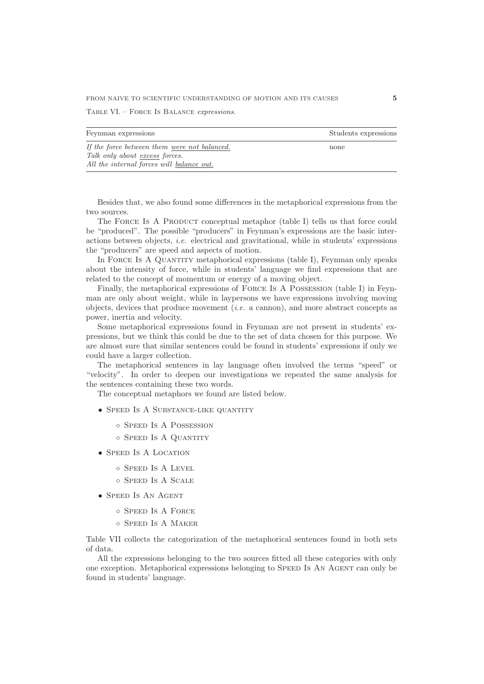Table VI. – Force Is Balance expressions.

| Feynman expressions                          | Students expressions |
|----------------------------------------------|----------------------|
|                                              |                      |
| If the force between them were not balanced. | none                 |
| Talk only about excess forces.               |                      |
| All the internal forces will balance out.    |                      |

Besides that, we also found some differences in the metaphorical expressions from the two sources.

The FORCE IS A PRODUCT conceptual metaphor (table I) tells us that force could be "produced". The possible "producers" in Feynman's expressions are the basic interactions between objects, i.e. electrical and gravitational, while in students' expressions the "producers" are speed and aspects of motion.

In FORCE IS A QUANTITY metaphorical expressions (table I), Feynman only speaks about the intensity of force, while in students' language we find expressions that are related to the concept of momentum or energy of a moving object.

Finally, the metaphorical expressions of Force Is A Possession (table I) in Feynman are only about weight, while in laypersons we have expressions involving moving objects, devices that produce movement (*i.e.* a cannon), and more abstract concepts as power, inertia and velocity.

Some metaphorical expressions found in Feynman are not present in students' expressions, but we think this could be due to the set of data chosen for this purpose. We are almost sure that similar sentences could be found in students' expressions if only we could have a larger collection.

The metaphorical sentences in lay language often involved the terms "speed" or "velocity". In order to deepen our investigations we repeated the same analysis for the sentences containing these two words.

The conceptual metaphors we found are listed below.

- SPEED IS A SUBSTANCE-LIKE QUANTITY
	- Speed Is A Possession
	- Speed Is A Quantity
- SPEED IS A LOCATION
	- Speed Is A Level
	- Speed Is A Scale
- Speed Is An Agent
	- Speed Is A Force
	- Speed Is A Maker

Table VII collects the categorization of the metaphorical sentences found in both sets of data.

All the expressions belonging to the two sources fitted all these categories with only one exception. Metaphorical expressions belonging to Speed Is An Agent can only be found in students' language.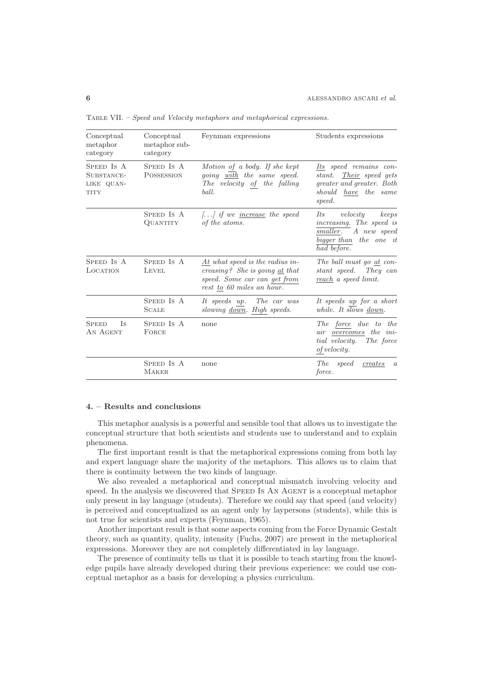| Conceptual<br>metaphor<br>category                    | Conceptual<br>metaphor sub-<br>category | Feynman expressions                                                                                                                                                             | Students expressions                                                                                                  |
|-------------------------------------------------------|-----------------------------------------|---------------------------------------------------------------------------------------------------------------------------------------------------------------------------------|-----------------------------------------------------------------------------------------------------------------------|
| SPEED IS A<br>SUBSTANCE-<br>LIKE QUAN-<br><b>TITY</b> | SPEED IS A<br>POSSESSION                | Motion of a body. If she kept<br>going with the same speed.<br>$\label{thm:1} The \hspace{0.1cm} velocity \hspace{0.1cm} of \hspace{0.1cm} the \hspace{0.1cm} falling$<br>ball. | Its speed remains con-<br>stant. Their speed gets<br>greater and greater. Both<br>should have the same<br>speed.      |
|                                                       | SPEED IS A<br><b>QUANTITY</b>           | $\left[ \ldots \right]$ if we <u>increase</u> the speed<br>of the atoms.                                                                                                        | velocity<br>Its<br>keeps<br>increasing. The speed is<br>smaller. A new speed<br>bigger than the one it<br>had before. |
| SPEED IS A<br>LOCATION                                | SPEED IS A<br><b>LEVEL</b>              | $\underline{At}$ what speed is the radius in-<br>creasing? She is going $\underline{at}$ that<br>speed. Some car can get from<br>rest to 60 miles an hour.                      | The ball must go at con-<br>stant speed. They can<br>reach a speed limit.                                             |
|                                                       | SPEED IS A<br><b>SCALE</b>              | It speeds up. The car was<br>slowing <u>down</u> . High speeds.                                                                                                                 | It speeds up for a short<br>while. It slows down.                                                                     |
| Is<br><b>SPEED</b><br>AN AGENT                        | SPEED IS A<br>FORCE                     | none                                                                                                                                                                            | The force due to the<br>air overcomes the ini-<br>tial velocity. The force<br>of velocity.                            |
|                                                       | SPEED IS A<br><b>MAKER</b>              | none                                                                                                                                                                            | <i>The</i><br>speed<br>creates<br>$\boldsymbol{a}$<br><i>force.</i>                                                   |

Table VII. – Speed and Velocity metaphors and metaphorical expressions.

## **4. – Results and conclusions**

This metaphor analysis is a powerful and sensible tool that allows us to investigate the conceptual structure that both scientists and students use to understand and to explain phenomena.

The first important result is that the metaphorical expressions coming from both lay and expert language share the majority of the metaphors. This allows us to claim that there is continuity between the two kinds of language.

We also revealed a metaphorical and conceptual mismatch involving velocity and speed. In the analysis we discovered that SPEED Is AN AGENT is a conceptual metaphor only present in lay language (students). Therefore we could say that speed (and velocity) is perceived and conceptualized as an agent only by laypersons (students), while this is not true for scientists and experts (Feynman, 1965).

Another important result is that some aspects coming from the Force Dynamic Gestalt theory, such as quantity, quality, intensity (Fuchs, 2007) are present in the metaphorical expressions. Moreover they are not completely differentiated in lay language.

The presence of continuity tells us that it is possible to teach starting from the knowledge pupils have already developed during their previous experience: we could use conceptual metaphor as a basis for developing a physics curriculum.